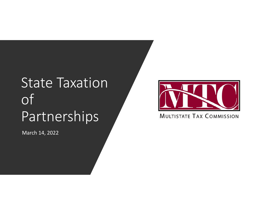# State Taxation of Partnerships

March 14, 2022



**MULTISTATE TAX COMMISSION**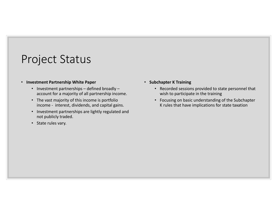#### Project Status

#### • **Investment Partnership White Paper**

- Investment partnerships defined broadly account for a majority of all partnership income.
- The vast majority of this income is portfolio income ‐ interest, dividends, and capital gains.
- Investment partnerships are lightly regulated and not publicly traded.
- State rules vary.
- **Subchapter K Training**
	- Recorded sessions provided to state personnel that wish to participate in the training
	- Focusing on basic understanding of the Subchapter K rules that have implications for state taxation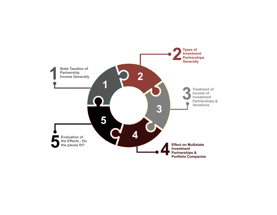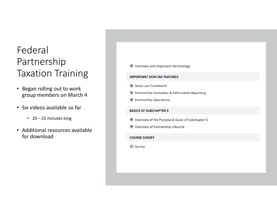### Federal Partnership Taxation Training

- Began rolling out to work group members on March 4
- Six videos available so far
	- 20 25 minutes long
- Additional resources available for download

 $\odot$  Overview and Important Terminology **IMPORTANT NON-TAX FEATURES ▶ State Law Framework** ⊙ Partnership Formation & Information Reporting **O** Partnership Operations **BASICS OF SUBCHAPTER K** ⊙ Overview of the Purpose & Goals of Subchapter K ⊙ Overview of Partnership Lifecycle **COURSE SURVEY** ☑ Survey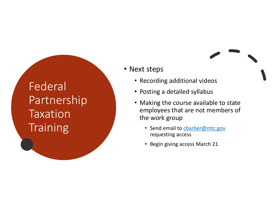## Federal Partnership Taxation **Training**

- Next steps
	- Recording additional videos
	- Posting a detailed syllabus
	- Making the course available to state employees that are not members of the work group
		- Send email to cbarber@mtc.gov requesting access
		- Begin giving access March 21